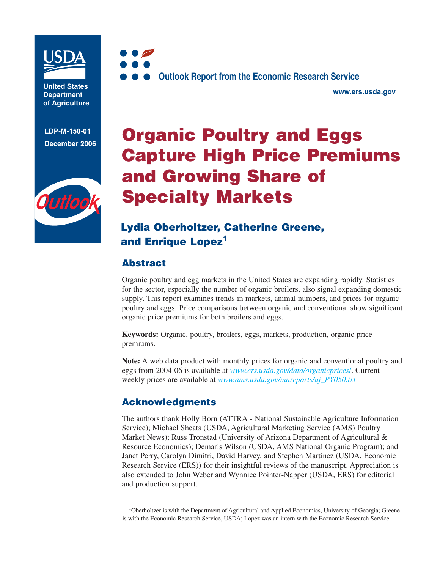

**United States Department of Agriculture**

**LDP-M-150-01 December 2006**





**[www.ers.usda.gov](http://www.ers.usda.gov)**

# **Organic Poultry and Eggs Capture High Price Premiums and Growing Share of Specialty Markets**

# **Lydia Oberholtzer, Catherine Greene, and Enrique Lopez1**

## **Abstract**

Organic poultry and egg markets in the United States are expanding rapidly. Statistics for the sector, especially the number of organic broilers, also signal expanding domestic supply. This report examines trends in markets, animal numbers, and prices for organic poultry and eggs. Price comparisons between organic and conventional show significant organic price premiums for both broilers and eggs.

**Keywords:** Organic, poultry, broilers, eggs, markets, production, organic price premiums.

**Note:** A web data product with monthly prices for organic and conventional poultry and eggs from 2004-06 is available at *[www.ers.usda.gov/data/organicprices](http://www.ers.usda.gov/data/organicprices)*/. Current weekly prices are available at *[www.ams.usda.gov/mnreports/aj\\_PY050.txt](http://www.ams.usda.gov/mnreports/aj_PY050.txt)*

## **Acknowledgments**

The authors thank Holly Born (ATTRA - National Sustainable Agriculture Information Service); Michael Sheats (USDA, Agricultural Marketing Service (AMS) Poultry Market News); Russ Tronstad (University of Arizona Department of Agricultural  $\&$ Resource Economics); Demaris Wilson (USDA, AMS National Organic Program); and Janet Perry, Carolyn Dimitri, David Harvey, and Stephen Martinez (USDA, Economic Research Service (ERS)) for their insightful reviews of the manuscript. Appreciation is also extended to John Weber and Wynnice Pointer-Napper (USDA, ERS) for editorial and production support.

<sup>&</sup>lt;sup>1</sup>Oberholtzer is with the Department of Agricultural and Applied Economics, University of Georgia; Greene is with the Economic Research Service, USDA; Lopez was an intern with the Economic Research Service.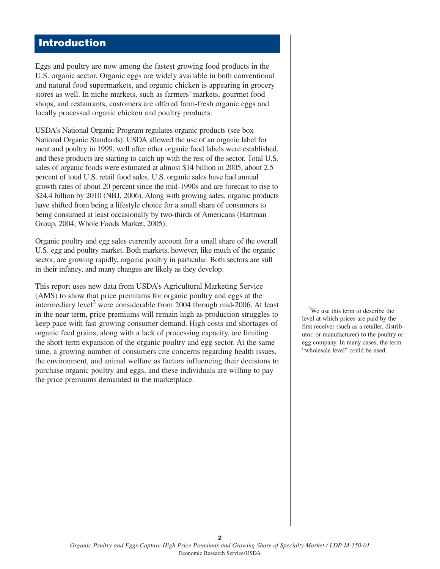## **Introduction**

Eggs and poultry are now among the fastest growing food products in the U.S. organic sector. Organic eggs are widely available in both conventional and natural food supermarkets, and organic chicken is appearing in grocery stores as well. In niche markets, such as farmers' markets, gourmet food shops, and restaurants, customers are offered farm-fresh organic eggs and locally processed organic chicken and poultry products.

USDA's National Organic Program regulates organic products (see box National Organic Standards). USDA allowed the use of an organic label for meat and poultry in 1999, well after other organic food labels were established, and these products are starting to catch up with the rest of the sector. Total U.S. sales of organic foods were estimated at almost \$14 billion in 2005, about 2.5 percent of total U.S. retail food sales. U.S. organic sales have had annual growth rates of about 20 percent since the mid-1990s and are forecast to rise to \$24.4 billion by 2010 (NBJ, 2006). Along with growing sales, organic products have shifted from being a lifestyle choice for a small share of consumers to being consumed at least occasionally by two-thirds of Americans (Hartman Group, 2004; Whole Foods Market, 2005).

Organic poultry and egg sales currently account for a small share of the overall U.S. egg and poultry market. Both markets, however, like much of the organic sector, are growing rapidly, organic poultry in particular. Both sectors are still in their infancy, and many changes are likely as they develop.

This report uses new data from USDA's Agricultural Marketing Service (AMS) to show that price premiums for organic poultry and eggs at the intermediary level<sup>2</sup> were considerable from 2004 through mid-2006. At least in the near term, price premiums will remain high as production struggles to keep pace with fast-growing consumer demand. High costs and shortages of organic feed grains, along with a lack of processing capacity, are limiting the short-term expansion of the organic poultry and egg sector. At the same time, a growing number of consumers cite concerns regarding health issues, the environment, and animal welfare as factors influencing their decisions to purchase organic poultry and eggs, and these individuals are willing to pay the price premiums demanded in the marketplace.

<sup>2</sup>We use this term to describe the level at which prices are paid by the first receiver (such as a retailer, distributor, or manufacturer) to the poultry or egg company. In many cases, the term "wholesale level" could be used.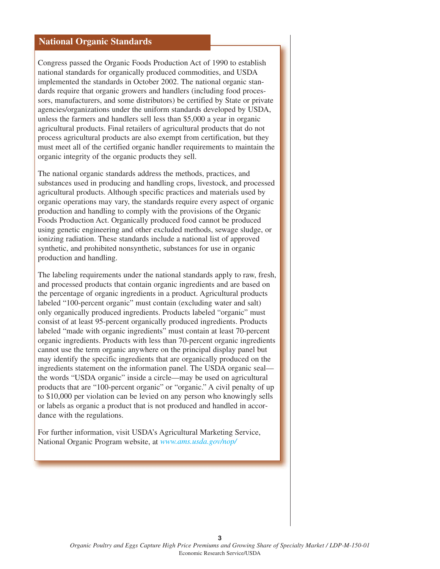#### **National Organic Standards**

Congress passed the Organic Foods Production Act of 1990 to establish national standards for organically produced commodities, and USDA implemented the standards in October 2002. The national organic standards require that organic growers and handlers (including food processors, manufacturers, and some distributors) be certified by State or private agencies/organizations under the uniform standards developed by USDA, unless the farmers and handlers sell less than \$5,000 a year in organic agricultural products. Final retailers of agricultural products that do not process agricultural products are also exempt from certification, but they must meet all of the certified organic handler requirements to maintain the organic integrity of the organic products they sell.

The national organic standards address the methods, practices, and substances used in producing and handling crops, livestock, and processed agricultural products. Although specific practices and materials used by organic operations may vary, the standards require every aspect of organic production and handling to comply with the provisions of the Organic Foods Production Act. Organically produced food cannot be produced using genetic engineering and other excluded methods, sewage sludge, or ionizing radiation. These standards include a national list of approved synthetic, and prohibited nonsynthetic, substances for use in organic production and handling.

The labeling requirements under the national standards apply to raw, fresh, and processed products that contain organic ingredients and are based on the percentage of organic ingredients in a product. Agricultural products labeled "100-percent organic" must contain (excluding water and salt) only organically produced ingredients. Products labeled "organic" must consist of at least 95-percent organically produced ingredients. Products labeled "made with organic ingredients" must contain at least 70-percent organic ingredients. Products with less than 70-percent organic ingredients cannot use the term organic anywhere on the principal display panel but may identify the specific ingredients that are organically produced on the ingredients statement on the information panel. The USDA organic seal the words "USDA organic" inside a circle—may be used on agricultural products that are "100-percent organic" or "organic." A civil penalty of up to \$10,000 per violation can be levied on any person who knowingly sells or labels as organic a product that is not produced and handled in accordance with the regulations.

For further information, visit USDA's Agricultural Marketing Service, National Organic Program website, at *[www.ams.usda.gov/nop/](http://www.ams.usda.gov/nop)*

**3**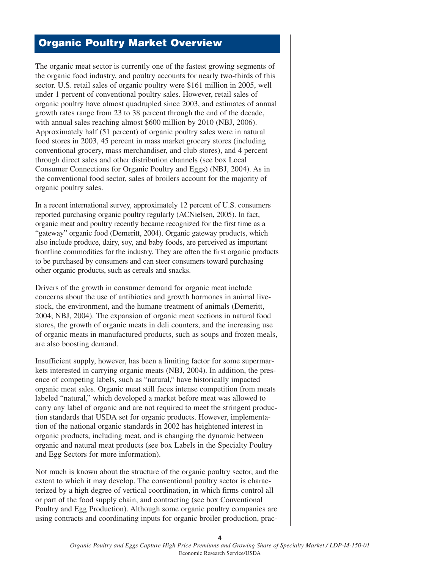## **Organic Poultry Market Overview**

The organic meat sector is currently one of the fastest growing segments of the organic food industry, and poultry accounts for nearly two-thirds of this sector. U.S. retail sales of organic poultry were \$161 million in 2005, well under 1 percent of conventional poultry sales. However, retail sales of organic poultry have almost quadrupled since 2003, and estimates of annual growth rates range from 23 to 38 percent through the end of the decade, with annual sales reaching almost \$600 million by 2010 (NBJ, 2006). Approximately half (51 percent) of organic poultry sales were in natural food stores in 2003, 45 percent in mass market grocery stores (including conventional grocery, mass merchandiser, and club stores), and 4 percent through direct sales and other distribution channels (see box Local Consumer Connections for Organic Poultry and Eggs) (NBJ, 2004). As in the conventional food sector, sales of broilers account for the majority of organic poultry sales.

In a recent international survey, approximately 12 percent of U.S. consumers reported purchasing organic poultry regularly (ACNielsen, 2005). In fact, organic meat and poultry recently became recognized for the first time as a "gateway" organic food (Demeritt, 2004). Organic gateway products, which also include produce, dairy, soy, and baby foods, are perceived as important frontline commodities for the industry. They are often the first organic products to be purchased by consumers and can steer consumers toward purchasing other organic products, such as cereals and snacks.

Drivers of the growth in consumer demand for organic meat include concerns about the use of antibiotics and growth hormones in animal livestock, the environment, and the humane treatment of animals (Demeritt, 2004; NBJ, 2004). The expansion of organic meat sections in natural food stores, the growth of organic meats in deli counters, and the increasing use of organic meats in manufactured products, such as soups and frozen meals, are also boosting demand.

Insufficient supply, however, has been a limiting factor for some supermarkets interested in carrying organic meats (NBJ, 2004). In addition, the presence of competing labels, such as "natural," have historically impacted organic meat sales. Organic meat still faces intense competition from meats labeled "natural," which developed a market before meat was allowed to carry any label of organic and are not required to meet the stringent production standards that USDA set for organic products. However, implementation of the national organic standards in 2002 has heightened interest in organic products, including meat, and is changing the dynamic between organic and natural meat products (see box Labels in the Specialty Poultry and Egg Sectors for more information).

Not much is known about the structure of the organic poultry sector, and the extent to which it may develop. The conventional poultry sector is characterized by a high degree of vertical coordination, in which firms control all or part of the food supply chain, and contracting (see box Conventional Poultry and Egg Production). Although some organic poultry companies are using contracts and coordinating inputs for organic broiler production, prac-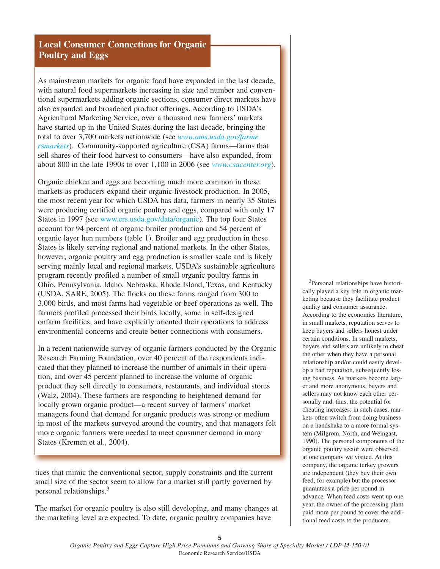#### **Local Consumer Connections for Organic Poultry and Eggs**

As mainstream markets for organic food have expanded in the last decade, with natural food supermarkets increasing in size and number and conventional supermarkets adding organic sections, consumer direct markets have also expanded and broadened product offerings. According to USDA's Agricultural Marketing Service, over a thousand new farmers' markets have started up in the United States during the last decade, bringing the total to over 3,700 markets nationwide (see *[www.ams.usda.gov/farme](http://www.ams.usda.gov/farmersmarkets/) rs[markets](http://www.ams.usda.gov/farmersmarkets/)*). Community-supported agriculture (CSA) farms—farms that sell shares of their food harvest to consumers—have also expanded, from about 800 in the late 1990s to over 1,100 in 2006 (see *[www.csacenter.org](http://www.csacenter.org)*).

Organic chicken and eggs are becoming much more common in these markets as producers expand their organic livestock production. In 2005, the most recent year for which USDA has data, farmers in nearly 35 States were producing certified organic poultry and eggs, compared with only 17 States in 1997 (see [www.ers.usda.gov/data/organic\). Th](http://www.ers.usda.gov/data/organic)e top four States account for 94 percent of organic broiler production and 54 percent of organic layer hen numbers (table 1). Broiler and egg production in these States is likely serving regional and national markets. In the other States, however, organic poultry and egg production is smaller scale and is likely serving mainly local and regional markets. USDA's sustainable agriculture program recently profiled a number of small organic poultry farms in Ohio, Pennsylvania, Idaho, Nebraska, Rhode Island, Texas, and Kentucky (USDA, SARE, 2005). The flocks on these farms ranged from 300 to 3,000 birds, and most farms had vegetable or beef operations as well. The farmers profiled processed their birds locally, some in self-designed onfarm facilities, and have explicitly oriented their operations to address environmental concerns and create better connections with consumers.

In a recent nationwide survey of organic farmers conducted by the Organic Research Farming Foundation, over 40 percent of the respondents indicated that they planned to increase the number of animals in their operation, and over 45 percent planned to increase the volume of organic product they sell directly to consumers, restaurants, and individual stores (Walz, 2004). These farmers are responding to heightened demand for locally grown organic product—a recent survey of farmers' market managers found that demand for organic products was strong or medium in most of the markets surveyed around the country, and that managers felt more organic farmers were needed to meet consumer demand in many States (Kremen et al., 2004).

tices that mimic the conventional sector, supply constraints and the current small size of the sector seem to allow for a market still partly governed by personal relationships.3

The market for organic poultry is also still developing, and many changes at the marketing level are expected. To date, organic poultry companies have

<sup>3</sup>Personal relationships have historically played a key role in organic marketing because they facilitate product quality and consumer assurance. According to the economics literature, in small markets, reputation serves to keep buyers and sellers honest under certain conditions. In small markets, buyers and sellers are unlikely to cheat the other when they have a personal relationship and/or could easily develop a bad reputation, subsequently losing business. As markets become larger and more anonymous, buyers and sellers may not know each other personally and, thus, the potential for cheating increases; in such cases, markets often switch from doing business on a handshake to a more formal system (Milgrom, North, and Weingast, 1990). The personal components of the organic poultry sector were observed at one company we visited. At this company, the organic turkey growers are independent (they buy their own feed, for example) but the processor guarantees a price per pound in advance. When feed costs went up one year, the owner of the processing plant paid more per pound to cover the additional feed costs to the producers.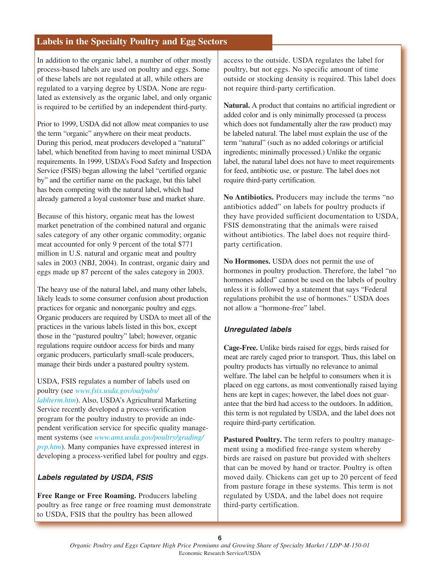#### **Labels in the Specialty Poultry and Egg Sectors**

In addition to the organic label, a number of other mostly process-based labels are used on poultry and eggs. Some of these labels are not regulated at all, while others are regulated to a varying degree by USDA. None are regulated as extensively as the organic label, and only organic is required to be certified by an independent third-party.

Prior to 1999, USDA did not allow meat companies to use the term "organic" anywhere on their meat products. During this period, meat producers developed a "natural" label, which benefited from having to meet minimal USDA requirements. In 1999, USDA's Food Safety and Inspection Service (FSIS) began allowing the label "certified organic by" and the certifier name on the package, but this label has been competing with the natural label, which had already garnered a loyal customer base and market share.

Because of this history, organic meat has the lowest market penetration of the combined natural and organic sales category of any other organic commodity; organic meat accounted for only 9 percent of the total \$771 million in U.S. natural and organic meat and poultry sales in 2003 (NBJ, 2004). In contrast, organic dairy and eggs made up 87 percent of the sales category in 2003.

The heavy use of the natural label, and many other labels, likely leads to some consumer confusion about production practices for organic and nonorganic poultry and eggs. Organic producers are required by USDA to meet all of the practices in the various labels listed in this box, except those in the "pastured poultry" label; however, organic regulations require outdoor access for birds and many organic producers, particularly small-scale producers, manage their birds under a pastured poultry system.

#### USDA, FSIS regulates a number of labels used on poultry (see *[www.fsis.usda.gov/oa/pubs/](http://www.fsis.usda.gov/oa/pubs/lablterm.htm)*

*[lablterm.htm](http://www.fsis.usda.gov/oa/pubs/lablterm.htm)*). Also, USDA's Agricultural Marketing Service recently developed a process-verification program for the poultry industry to provide an independent verification service for specific quality management systems (see *[www.ams.usda.gov/poultry/grading/](http://www.ams.usda.gov/poultry/grading/pvp.htm) [pvp.htm](http://www.ams.usda.gov/poultry/grading/pvp.htm)*). Many companies have expressed interest in developing a process-verified label for poultry and eggs.

#### **Labels regulated by USDA, FSIS**

**Free Range or Free Roaming.** Producers labeling poultry as free range or free roaming must demonstrate to USDA, FSIS that the poultry has been allowed

access to the outside. USDA regulates the label for poultry, but not eggs. No specific amount of time outside or stocking density is required. This label does not require third-party certification.

**Natural.** A product that contains no artificial ingredient or added color and is only minimally processed (a process which does not fundamentally alter the raw product) may be labeled natural. The label must explain the use of the term "natural" (such as no added colorings or artificial ingredients; minimally processed.) Unlike the organic label, the natural label does not have to meet requirements for feed, antibiotic use, or pasture. The label does not require third-party certification.

**No Antibiotics.** Producers may include the terms "no antibiotics added" on labels for poultry products if they have provided sufficient documentation to USDA, FSIS demonstrating that the animals were raised without antibiotics. The label does not require thirdparty certification.

**No Hormones.** USDA does not permit the use of hormones in poultry production. Therefore, the label "no hormones added" cannot be used on the labels of poultry unless it is followed by a statement that says "Federal regulations prohibit the use of hormones." USDA does not allow a "hormone-free" label.

#### **Unregulated labels**

**Cage-Free.** Unlike birds raised for eggs, birds raised for meat are rarely caged prior to transport. Thus, this label on poultry products has virtually no relevance to animal welfare. The label can be helpful to consumers when it is placed on egg cartons, as most conventionally raised laying hens are kept in cages; however, the label does not guarantee that the bird had access to the outdoors. In addition, this term is not regulated by USDA, and the label does not require third-party certification.

**Pastured Poultry.** The term refers to poultry management using a modified free-range system whereby birds are raised on pasture but provided with shelters that can be moved by hand or tractor. Poultry is often moved daily. Chickens can get up to 20 percent of feed from pasture forage in these systems. This term is not regulated by USDA, and the label does not require third-party certification.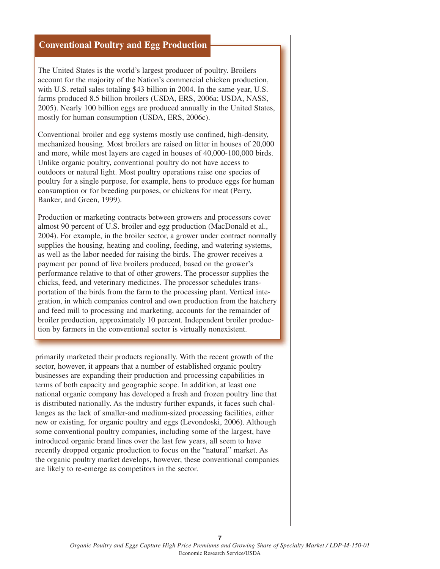#### **Conventional Poultry and Egg Production**

The United States is the world's largest producer of poultry. Broilers account for the majority of the Nation's commercial chicken production, with U.S. retail sales totaling \$43 billion in 2004. In the same year, U.S. farms produced 8.5 billion broilers (USDA, ERS, 2006a; USDA, NASS, 2005). Nearly 100 billion eggs are produced annually in the United States, mostly for human consumption (USDA, ERS, 2006c).

Conventional broiler and egg systems mostly use confined, high-density, mechanized housing. Most broilers are raised on litter in houses of 20,000 and more, while most layers are caged in houses of 40,000-100,000 birds. Unlike organic poultry, conventional poultry do not have access to outdoors or natural light. Most poultry operations raise one species of poultry for a single purpose, for example, hens to produce eggs for human consumption or for breeding purposes, or chickens for meat (Perry, Banker, and Green, 1999).

Production or marketing contracts between growers and processors cover almost 90 percent of U.S. broiler and egg production (MacDonald et al., 2004). For example, in the broiler sector, a grower under contract normally supplies the housing, heating and cooling, feeding, and watering systems, as well as the labor needed for raising the birds. The grower receives a payment per pound of live broilers produced, based on the grower's performance relative to that of other growers. The processor supplies the chicks, feed, and veterinary medicines. The processor schedules transportation of the birds from the farm to the processing plant. Vertical integration, in which companies control and own production from the hatchery and feed mill to processing and marketing, accounts for the remainder of broiler production, approximately 10 percent. Independent broiler production by farmers in the conventional sector is virtually nonexistent.

primarily marketed their products regionally. With the recent growth of the sector, however, it appears that a number of established organic poultry businesses are expanding their production and processing capabilities in terms of both capacity and geographic scope. In addition, at least one national organic company has developed a fresh and frozen poultry line that is distributed nationally. As the industry further expands, it faces such challenges as the lack of smaller-and medium-sized processing facilities, either new or existing, for organic poultry and eggs (Levondoski, 2006). Although some conventional poultry companies, including some of the largest, have introduced organic brand lines over the last few years, all seem to have recently dropped organic production to focus on the "natural" market. As the organic poultry market develops, however, these conventional companies are likely to re-emerge as competitors in the sector.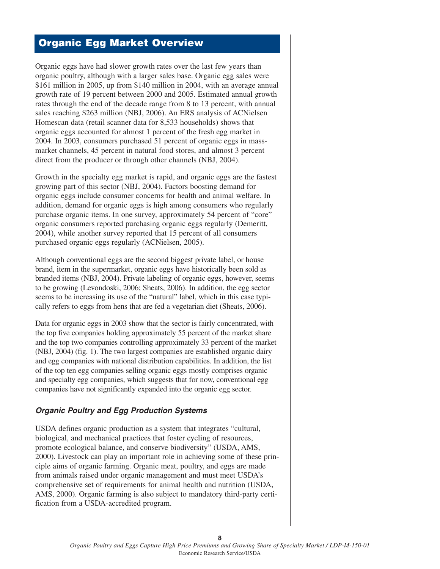## **Organic Egg Market Overview**

Organic eggs have had slower growth rates over the last few years than organic poultry, although with a larger sales base. Organic egg sales were \$161 million in 2005, up from \$140 million in 2004, with an average annual growth rate of 19 percent between 2000 and 2005. Estimated annual growth rates through the end of the decade range from 8 to 13 percent, with annual sales reaching \$263 million (NBJ, 2006). An ERS analysis of ACNielsen Homescan data (retail scanner data for 8,533 households) shows that organic eggs accounted for almost 1 percent of the fresh egg market in 2004. In 2003, consumers purchased 51 percent of organic eggs in massmarket channels, 45 percent in natural food stores, and almost 3 percent direct from the producer or through other channels (NBJ, 2004).

Growth in the specialty egg market is rapid, and organic eggs are the fastest growing part of this sector (NBJ, 2004). Factors boosting demand for organic eggs include consumer concerns for health and animal welfare. In addition, demand for organic eggs is high among consumers who regularly purchase organic items. In one survey, approximately 54 percent of "core" organic consumers reported purchasing organic eggs regularly (Demeritt, 2004), while another survey reported that 15 percent of all consumers purchased organic eggs regularly (ACNielsen, 2005).

Although conventional eggs are the second biggest private label, or house brand, item in the supermarket, organic eggs have historically been sold as branded items (NBJ, 2004). Private labeling of organic eggs, however, seems to be growing (Levondoski, 2006; Sheats, 2006). In addition, the egg sector seems to be increasing its use of the "natural" label, which in this case typically refers to eggs from hens that are fed a vegetarian diet (Sheats, 2006).

Data for organic eggs in 2003 show that the sector is fairly concentrated, with the top five companies holding approximately 55 percent of the market share and the top two companies controlling approximately 33 percent of the market (NBJ, 2004) (fig. 1). The two largest companies are established organic dairy and egg companies with national distribution capabilities. In addition, the list of the top ten egg companies selling organic eggs mostly comprises organic and specialty egg companies, which suggests that for now, conventional egg companies have not significantly expanded into the organic egg sector.

#### **Organic Poultry and Egg Production Systems**

USDA defines organic production as a system that integrates "cultural, biological, and mechanical practices that foster cycling of resources, promote ecological balance, and conserve biodiversity" (USDA, AMS, 2000). Livestock can play an important role in achieving some of these principle aims of organic farming. Organic meat, poultry, and eggs are made from animals raised under organic management and must meet USDA's comprehensive set of requirements for animal health and nutrition (USDA, AMS, 2000). Organic farming is also subject to mandatory third-party certification from a USDA-accredited program.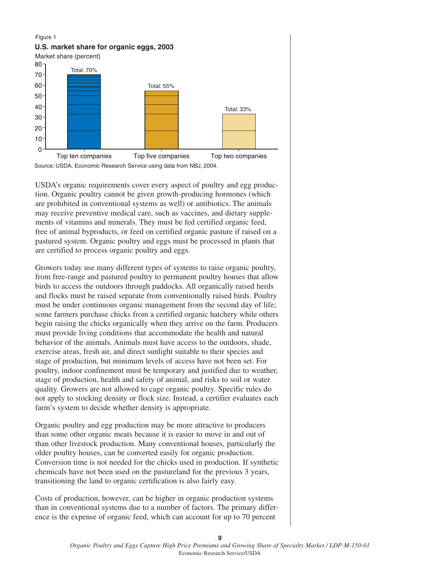#### Figure 1



USDA's organic requirements cover every aspect of poultry and egg production. Organic poultry cannot be given growth-producing hormones (which are prohibited in conventional systems as well) or antibiotics. The animals may receive preventive medical care, such as vaccines, and dietary supplements of vitamins and minerals. They must be fed certified organic feed, free of animal byproducts, or feed on certified organic pasture if raised on a pastured system. Organic poultry and eggs must be processed in plants that are certified to process organic poultry and eggs.

Growers today use many different types of systems to raise organic poultry, from free-range and pastured poultry to permanent poultry houses that allow birds to access the outdoors through paddocks. All organically raised herds and flocks must be raised separate from conventionally raised birds. Poultry must be under continuous organic management from the second day of life; some farmers purchase chicks from a certified organic hatchery while others begin raising the chicks organically when they arrive on the farm. Producers must provide living conditions that accommodate the health and natural behavior of the animals. Animals must have access to the outdoors, shade, exercise areas, fresh air, and direct sunlight suitable to their species and stage of production, but minimum levels of access have not been set. For poultry, indoor confinement must be temporary and justified due to weather, stage of production, health and safety of animal, and risks to soil or water quality. Growers are not allowed to cage organic poultry. Specific rules do not apply to stocking density or flock size. Instead, a certifier evaluates each farm's system to decide whether density is appropriate.

Organic poultry and egg production may be more attractive to producers than some other organic meats because it is easier to move in and out of than other livestock production. Many conventional houses, particularly the older poultry houses, can be converted easily for organic production. Conversion time is not needed for the chicks used in production. If synthetic chemicals have not been used on the pastureland for the previous 3 years, transitioning the land to organic certification is also fairly easy.

Costs of production, however, can be higher in organic production systems than in conventional systems due to a number of factors. The primary difference is the expense of organic feed, which can account for up to 70 percent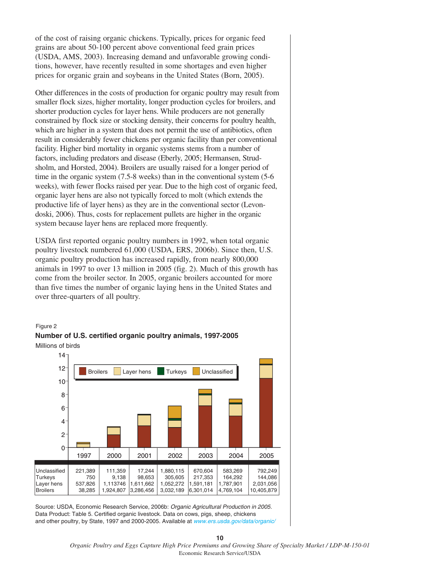of the cost of raising organic chickens. Typically, prices for organic feed grains are about 50-100 percent above conventional feed grain prices (USDA, AMS, 2003). Increasing demand and unfavorable growing conditions, however, have recently resulted in some shortages and even higher prices for organic grain and soybeans in the United States (Born, 2005).

Other differences in the costs of production for organic poultry may result from smaller flock sizes, higher mortality, longer production cycles for broilers, and shorter production cycles for layer hens. While producers are not generally constrained by flock size or stocking density, their concerns for poultry health, which are higher in a system that does not permit the use of antibiotics, often result in considerably fewer chickens per organic facility than per conventional facility. Higher bird mortality in organic systems stems from a number of factors, including predators and disease (Eberly, 2005; Hermansen, Strudsholm, and Horsted, 2004). Broilers are usually raised for a longer period of time in the organic system (7.5-8 weeks) than in the conventional system (5-6 weeks), with fewer flocks raised per year. Due to the high cost of organic feed, organic layer hens are also not typically forced to molt (which extends the productive life of layer hens) as they are in the conventional sector (Levondoski, 2006). Thus, costs for replacement pullets are higher in the organic system because layer hens are replaced more frequently.

USDA first reported organic poultry numbers in 1992, when total organic poultry livestock numbered 61,000 (USDA, ERS, 2006b). Since then, U.S. organic poultry production has increased rapidly, from nearly 800,000 animals in 1997 to over 13 million in 2005 (fig. 2). Much of this growth has come from the broiler sector. In 2005, organic broilers accounted for more than five times the number of organic laying hens in the United States and over three-quarters of all poultry.

#### Figure 2





Source: USDA, Economic Research Service, 2006b: *Organic Agricultural Production in 2005.* Data Product: Table 5. Certified organic livestock. Data on cows, pigs, sheep, chickens and other poultry, by State, 1997 and 2000-2005. Available at *[www.ers.usda.gov/data/organic/](http://www.ers.usda.gov/data/organic)*

> *Organic Poultry and Eggs Capture High Price Premiums and Growing Share of Specialty Market / LDP-M-150-01* Economic Research Service/USDA

**10**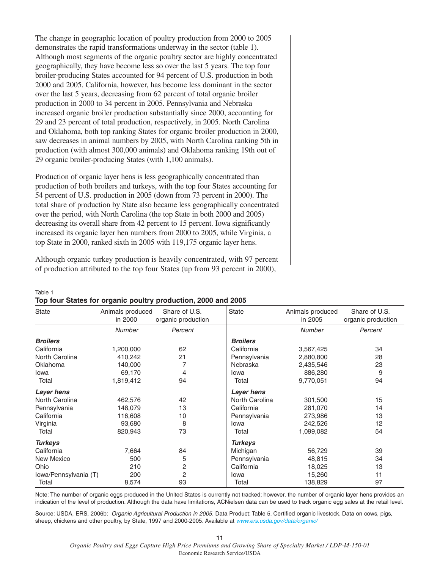The change in geographic location of poultry production from 2000 to 2005 demonstrates the rapid transformations underway in the sector (table 1). Although most segments of the organic poultry sector are highly concentrated geographically, they have become less so over the last 5 years. The top four broiler-producing States accounted for 94 percent of U.S. production in both 2000 and 2005. California, however, has become less dominant in the sector over the last 5 years, decreasing from 62 percent of total organic broiler production in 2000 to 34 percent in 2005. Pennsylvania and Nebraska increased organic broiler production substantially since 2000, accounting for 29 and 23 percent of total production, respectively, in 2005. North Carolina and Oklahoma, both top ranking States for organic broiler production in 2000, saw decreases in animal numbers by 2005, with North Carolina ranking 5th in production (with almost 300,000 animals) and Oklahoma ranking 19th out of 29 organic broiler-producing States (with 1,100 animals).

Production of organic layer hens is less geographically concentrated than production of both broilers and turkeys, with the top four States accounting for 54 percent of U.S. production in 2005 (down from 73 percent in 2000). The total share of production by State also became less geographically concentrated over the period, with North Carolina (the top State in both 2000 and 2005) decreasing its overall share from 42 percent to 15 percent. Iowa significantly increased its organic layer hen numbers from 2000 to 2005, while Virginia, a top State in 2000, ranked sixth in 2005 with 119,175 organic layer hens.

Although organic turkey production is heavily concentrated, with 97 percent of production attributed to the top four States (up from 93 percent in 2000),

| Table 1 |  |                                                               |  |  |
|---------|--|---------------------------------------------------------------|--|--|
|         |  | Top four States for organic poultry production, 2000 and 2005 |  |  |

| <b>State</b>          | Animals produced<br>in 2000 | Share of U.S.<br>organic production | State           | Animals produced<br>in 2005 | Share of U.S.<br>organic production |
|-----------------------|-----------------------------|-------------------------------------|-----------------|-----------------------------|-------------------------------------|
|                       | <b>Number</b>               | Percent                             |                 | <b>Number</b>               | Percent                             |
| <b>Broilers</b>       |                             |                                     | <b>Broilers</b> |                             |                                     |
| California            | 1,200,000                   | 62                                  | California      | 3,567,425                   | 34                                  |
| North Carolina        | 410,242                     | 21                                  | Pennsylvania    | 2,880,800                   | 28                                  |
| Oklahoma              | 140,000                     | 7                                   | Nebraska        | 2,435,546                   | 23                                  |
| Iowa                  | 69,170                      | 4                                   | Iowa            | 886,280                     | 9                                   |
| Total                 | 1,819,412                   | 94                                  | Total           | 9,770,051                   | 94                                  |
| Layer hens            |                             |                                     | Layer hens      |                             |                                     |
| North Carolina        | 462,576                     | 42                                  | North Carolina  | 301,500                     | 15                                  |
| Pennsylvania          | 148,079                     | 13                                  | California      | 281,070                     | 14                                  |
| California            | 116,608                     | 10                                  | Pennsylvania    | 273,986                     | 13                                  |
| Virginia              | 93,680                      | 8                                   | Iowa            | 242,526                     | 12                                  |
| Total                 | 820,943                     | 73                                  | Total           | 1,099,082                   | 54                                  |
| <b>Turkeys</b>        |                             |                                     | <b>Turkeys</b>  |                             |                                     |
| California            | 7,664                       | 84                                  | Michigan        | 56,729                      | 39                                  |
| New Mexico            | 500                         | 5                                   | Pennsylvania    | 48,815                      | 34                                  |
| Ohio                  | 210                         | 2                                   | California      | 18,025                      | 13                                  |
| Iowa/Pennsylvania (T) | 200                         | 2                                   | Iowa            | 15,260                      | 11                                  |
| Total                 | 8,574                       | 93                                  | Total           | 138,829                     | 97                                  |

Note: The number of organic eggs produced in the United States is currently not tracked; however, the number of organic layer hens provides an indication of the level of production. Although the data have limitations, ACNielsen data can be used to track organic egg sales at the retail level.

Source: USDA, ERS, 2006b: Organic Agricultural Production in 2005. Data Product: Table 5. Certified organic livestock. Data on cows, pigs, sheep, chickens and other poultry, by State, 1997 and 2000-2005. Available at [www.ers.usda.gov/data/organic/](http://www.ers.usda.gov/data/organic)

*Organic Poultry and Eggs Capture High Price Premiums and Growing Share of Specialty Market / LDP-M-150-01* Economic Research Service/USDA

**11**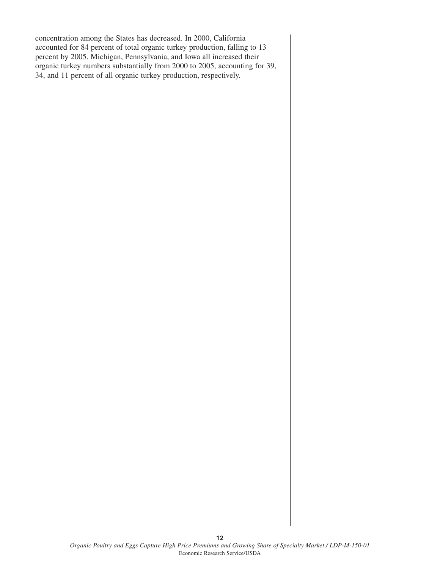concentration among the States has decreased. In 2000, California accounted for 84 percent of total organic turkey production, falling to 13 percent by 2005. Michigan, Pennsylvania, and Iowa all increased their organic turkey numbers substantially from 2000 to 2005, accounting for 39, 34, and 11 percent of all organic turkey production, respectively.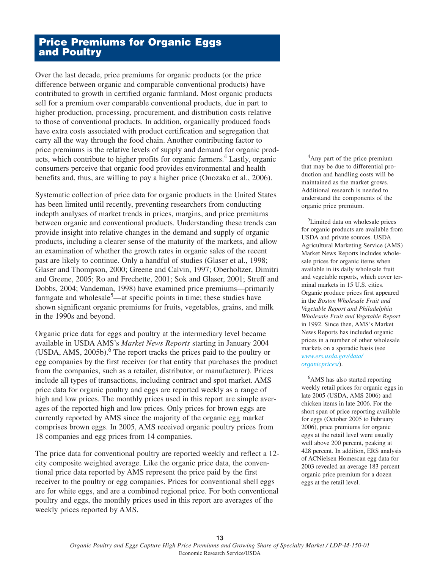## **Price Premiums for Organic Eggs and Poultry**

Over the last decade, price premiums for organic products (or the price difference between organic and comparable conventional products) have contributed to growth in certified organic farmland. Most organic products sell for a premium over comparable conventional products, due in part to higher production, processing, procurement, and distribution costs relative to those of conventional products. In addition, organically produced foods have extra costs associated with product certification and segregation that carry all the way through the food chain. Another contributing factor to price premiums is the relative levels of supply and demand for organic products, which contribute to higher profits for organic farmers.<sup>4</sup> Lastly, organic consumers perceive that organic food provides environmental and health benefits and, thus, are willing to pay a higher price (Onozaka et al., 2006).

Systematic collection of price data for organic products in the United States has been limited until recently, preventing researchers from conducting indepth analyses of market trends in prices, margins, and price premiums between organic and conventional products. Understanding these trends can provide insight into relative changes in the demand and supply of organic products, including a clearer sense of the maturity of the markets, and allow an examination of whether the growth rates in organic sales of the recent past are likely to continue. Only a handful of studies (Glaser et al., 1998; Glaser and Thompson, 2000; Greene and Calvin, 1997; Oberholtzer, Dimitri and Greene, 2005; Ro and Frechette, 2001; Sok and Glaser, 2001; Streff and Dobbs, 2004; Vandeman, 1998) have examined price premiums—primarily farmgate and wholesale<sup>5</sup>—at specific points in time; these studies have shown significant organic premiums for fruits, vegetables, grains, and milk in the 1990s and beyond.

Organic price data for eggs and poultry at the intermediary level became available in USDA AMS's *Market News Reports* starting in January 2004 (USDA, AMS,  $2005b$ ).<sup>6</sup> The report tracks the prices paid to the poultry or egg companies by the first receiver (or that entity that purchases the product from the companies, such as a retailer, distributor, or manufacturer). Prices include all types of transactions, including contract and spot market. AMS price data for organic poultry and eggs are reported weekly as a range of high and low prices. The monthly prices used in this report are simple averages of the reported high and low prices. Only prices for brown eggs are currently reported by AMS since the majority of the organic egg market comprises brown eggs. In 2005, AMS received organic poultry prices from 18 companies and egg prices from 14 companies.

The price data for conventional poultry are reported weekly and reflect a 12 city composite weighted average. Like the organic price data, the conventional price data reported by AMS represent the price paid by the first receiver to the poultry or egg companies. Prices for conventional shell eggs are for white eggs, and are a combined regional price. For both conventional poultry and eggs, the monthly prices used in this report are averages of the weekly prices reported by AMS.

<sup>4</sup>Any part of the price premium that may be due to differential production and handling costs will be maintained as the market grows. Additional research is needed to understand the components of the organic price premium.

<sup>5</sup>Limited data on wholesale prices for organic products are available from USDA and private sources. USDA Agricultural Marketing Service (AMS) Market News Reports includes wholesale prices for organic items when available in its daily wholesale fruit and vegetable reports, which cover terminal markets in 15 U.S. cities. Organic produce prices first appeared in the *Boston Wholesale Fruit and Vegetable Report and Philadelphia Wholesale Fruit and Vegetable Report* in 1992. Since then, AMS's Market News Reports has included organic prices in a number of other wholesale markets on a sporadic basis (see *[www.ers.usda.gov/data/](http://www.ers.usda.gov/data/organicprices/) organicprices/*).

<sup>6</sup>AMS has also started reporting weekly retail prices for organic eggs in late 2005 (USDA, AMS 2006) and chicken items in late 2006. For the short span of price reporting available for eggs (October 2005 to February 2006), price premiums for organic eggs at the retail level were usually well above 200 percent, peaking at 428 percent. In addition, ERS analysis of ACNielsen Homescan egg data for 2003 revealed an average 183 percent organic price premium for a dozen eggs at the retail level.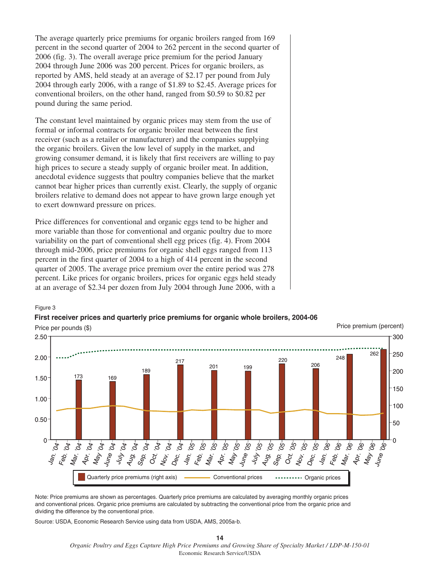The average quarterly price premiums for organic broilers ranged from 169 percent in the second quarter of 2004 to 262 percent in the second quarter of 2006 (fig. 3). The overall average price premium for the period January 2004 through June 2006 was 200 percent. Prices for organic broilers, as reported by AMS, held steady at an average of \$2.17 per pound from July 2004 through early 2006, with a range of \$1.89 to \$2.45. Average prices for conventional broilers, on the other hand, ranged from \$0.59 to \$0.82 per pound during the same period.

The constant level maintained by organic prices may stem from the use of formal or informal contracts for organic broiler meat between the first receiver (such as a retailer or manufacturer) and the companies supplying the organic broilers. Given the low level of supply in the market, and growing consumer demand, it is likely that first receivers are willing to pay high prices to secure a steady supply of organic broiler meat. In addition, anecdotal evidence suggests that poultry companies believe that the market cannot bear higher prices than currently exist. Clearly, the supply of organic broilers relative to demand does not appear to have grown large enough yet to exert downward pressure on prices.

Price differences for conventional and organic eggs tend to be higher and more variable than those for conventional and organic poultry due to more variability on the part of conventional shell egg prices (fig. 4). From 2004 through mid-2006, price premiums for organic shell eggs ranged from 113 percent in the first quarter of 2004 to a high of 414 percent in the second quarter of 2005. The average price premium over the entire period was 278 percent. Like prices for organic broilers, prices for organic eggs held steady at an average of \$2.34 per dozen from July 2004 through June 2006, with a

Figure 3



## **First receiver prices and quarterly price premiums for organic whole broilers, 2004-06**

Note: Price premiums are shown as percentages. Quarterly price premiums are calculated by averaging monthly organic prices and conventional prices. Organic price premiums are calculated by subtracting the conventional price from the organic price and dividing the difference by the conventional price.

Source: USDA, Economic Research Service using data from USDA, AMS, 2005a-b.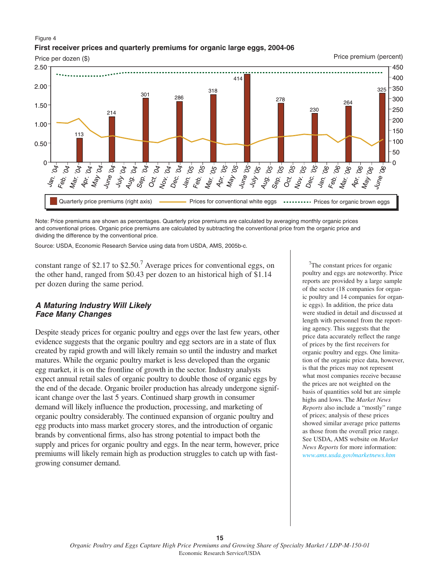#### Figure 4 **First receiver prices and quarterly premiums for organic large eggs, 2004-06**

Price per dozen (\$)

Price premium (percent)



Note: Price premiums are shown as percentages. Quarterly price premiums are calculated by averaging monthly organic prices and conventional prices. Organic price premiums are calculated by subtracting the conventional price from the organic price and dividing the difference by the conventional price.

Source: USDA, Economic Research Service using data from USDA, AMS, 2005b-c.

constant range of \$2.17 to  $$2.50<sup>7</sup>$  Average prices for conventional eggs, on the other hand, ranged from \$0.43 per dozen to an historical high of \$1.14 per dozen during the same period.

#### **A Maturing Industry Will Likely Face Many Changes**

Despite steady prices for organic poultry and eggs over the last few years, other evidence suggests that the organic poultry and egg sectors are in a state of flux created by rapid growth and will likely remain so until the industry and market matures. While the organic poultry market is less developed than the organic egg market, it is on the frontline of growth in the sector. Industry analysts expect annual retail sales of organic poultry to double those of organic eggs by the end of the decade. Organic broiler production has already undergone significant change over the last 5 years. Continued sharp growth in consumer demand will likely influence the production, processing, and marketing of organic poultry considerably. The continued expansion of organic poultry and egg products into mass market grocery stores, and the introduction of organic brands by conventional firms, also has strong potential to impact both the supply and prices for organic poultry and eggs. In the near term, however, price premiums will likely remain high as production struggles to catch up with fastgrowing consumer demand.

<sup>7</sup>The constant prices for organic poultry and eggs are noteworthy. Price reports are provided by a large sample of the sector (18 companies for organic poultry and 14 companies for organic eggs). In addition, the price data were studied in detail and discussed at length with personnel from the reporting agency. This suggests that the price data accurately reflect the range of prices by the first receivers for organic poultry and eggs. One limitation of the organic price data, however, is that the prices may not represent what most companies receive because the prices are not weighted on the basis of quantities sold but are simple highs and lows. The *Market News Reports* also include a "mostly" range of prices; analysis of these prices showed similar average price patterns as those from the overall price range. See USDA, AMS website on *Market News Reports* for more information: *[www.ams.usda.gov/marketnews.htm](http://www.ams.usda.gov/marketnews.htm)*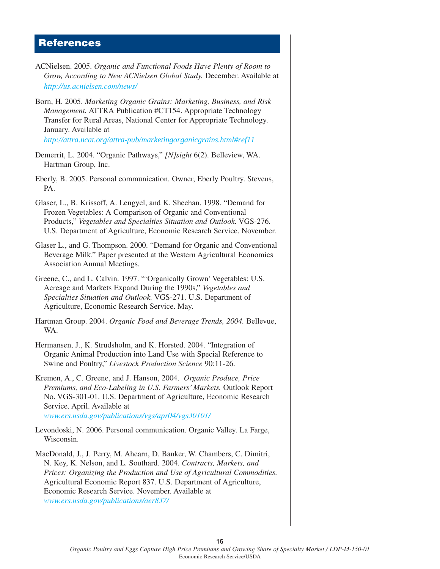#### **References**

- ACNielsen. 2005. *Organic and Functional Foods Have Plenty of Room to Grow, According to New ACNielsen Global Study.* December. Available at *[http://us.acnielsen](http://www.ers.usda.gov/data/organicprices/).com/news/*
- Born, H. 2005. *Marketing Organic Grains: Marketing, Business, and Risk Management.* ATTRA Publication #CT154. Appropriate Technology Transfer for Rural Areas, National Center for Appropriate Technology. January. Available at

*[http://attra.ncat.org/attra-pub/marketingorganicgrains](http://attra.ncat.org/attra-pub/marketingorganicgrains.html#ref11).html#ref11*

- Demerrit, L. 2004. "Organic Pathways," *[N]sight* 6(2). Belleview, WA. Hartman Group, Inc.
- Eberly, B. 2005. Personal communication. Owner, Eberly Poultry. Stevens, PA.
- Glaser, L., B. Krissoff, A. Lengyel, and K. Sheehan. 1998. "Demand for Frozen Vegetables: A Comparison of Organic and Conventional Products," *Vegetables and Specialties Situation and Outlook.* VGS-276. U.S. Department of Agriculture, Economic Research Service. November.
- Glaser L., and G. Thompson. 2000. "Demand for Organic and Conventional Beverage Milk." Paper presented at the Western Agricultural Economics Association Annual Meetings.
- Greene, C., and L. Calvin. 1997. "'Organically Grown' Vegetables: U.S. Acreage and Markets Expand During the 1990s," *Vegetables and Specialties Situation and Outlook.* VGS-271. U.S. Department of Agriculture, Economic Research Service. May.
- Hartman Group. 2004. *Organic Food and Beverage Trends, 2004.* Bellevue, WA.
- Hermansen, J., K. Strudsholm, and K. Horsted. 2004. "Integration of Organic Animal Production into Land Use with Special Reference to Swine and Poultry," *Livestock Production Science* 90:11-26.
- Kremen, A., C. Greene, and J. Hanson, 2004. *Organic Produce, Price Premiums, and Eco-Labeling in U.S. Farmers' Markets.* Outlook Report No. VGS-301-01. U.S. Department of Agriculture, Economic Research Service. April. Available at *[www.ers.usda.gov/publications/vgs/apr04/vgs30101/](http://www.ers.usda.gov/publications/vgs/apr04/vgs30101)*
- Levondoski, N. 2006. Personal communication. Organic Valley. La Farge, Wisconsin.
- MacDonald, J., J. Perry, M. Ahearn, D. Banker, W. Chambers, C. Dimitri, N. Key, K. Nelson, and L. Southard. 2004. *Contracts, Markets, and Prices: Organizing the Production and Use of Agricultural Commodities.* Agricultural Economic Report 837. U.S. Department of Agriculture, Economic Research Service. November. Available at *[www.ers.usda.gov/publications/aer837/](http://www.ers.usda.gov/publications/aer837)*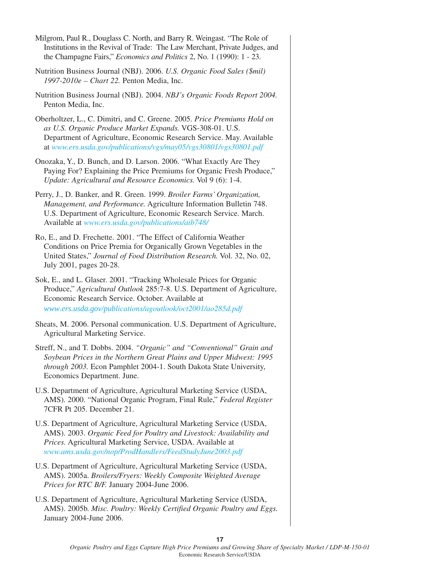| Milgrom, Paul R., Douglass C. North, and Barry R. Weingast. "The Role of<br>Institutions in the Revival of Trade: The Law Merchant, Private Judges, and<br>the Champagne Fairs," <i>Economics and Politics</i> 2, No. 1 (1990): 1 - 23.                                          |
|----------------------------------------------------------------------------------------------------------------------------------------------------------------------------------------------------------------------------------------------------------------------------------|
| Nutrition Business Journal (NBJ). 2006. U.S. Organic Food Sales (\$mil)<br>1997-2010e - Chart 22. Penton Media, Inc.                                                                                                                                                             |
| Nutrition Business Journal (NBJ). 2004. NBJ's Organic Foods Report 2004.<br>Penton Media, Inc.                                                                                                                                                                                   |
| Oberholtzer, L., C. Dimitri, and C. Greene. 2005. Price Premiums Hold on<br>as U.S. Organic Produce Market Expands. VGS-308-01. U.S.<br>Department of Agriculture, Economic Research Service. May. Available<br>at www.ers.usda.gov/publications/vgs/may05/vgs30801/vgs30801.pdf |
| Onozaka, Y., D. Bunch, and D. Larson. 2006. "What Exactly Are They<br>Paying For? Explaining the Price Premiums for Organic Fresh Produce,"<br>Update: Agricultural and Resource Economics. Vol 9 (6): 1-4.                                                                      |
| Perry, J., D. Banker, and R. Green. 1999. Broiler Farms' Organization,<br>Management, and Performance. Agriculture Information Bulletin 748.<br>U.S. Department of Agriculture, Economic Research Service. March.<br>Available at www.ers.usda.gov/publications/aib748/          |
| Ro, E., and D. Frechette. 2001. "The Effect of California Weather<br>Conditions on Price Premia for Organically Grown Vegetables in the<br>United States," Journal of Food Distribution Research. Vol. 32, No. 02,<br>July 2001, pages 20-28.                                    |
| Sok, E., and L. Glaser. 2001. "Tracking Wholesale Prices for Organic<br>Produce," Agricultural Outlook 285:7-8. U.S. Department of Agriculture,<br>Economic Research Service. October. Available at<br>www.ers.usda.gov/publications/agoutlook/oct2001/ao285d.pdf                |
| Sheats, M. 2006. Personal communication. U.S. Department of Agriculture,<br>Agricultural Marketing Service.                                                                                                                                                                      |
| Streff, N., and T. Dobbs. 2004. "Organic" and "Conventional" Grain and<br>Soybean Prices in the Northern Great Plains and Upper Midwest: 1995<br>through 2003. Econ Pamphlet 2004-1. South Dakota State University,<br>Economics Department. June.                               |
| U.S. Department of Agriculture, Agricultural Marketing Service (USDA,<br>AMS). 2000. "National Organic Program, Final Rule," Federal Register<br>7CFR Pt 205. December 21.                                                                                                       |
| U.S. Department of Agriculture, Agricultural Marketing Service (USDA,<br>AMS). 2003. Organic Feed for Poultry and Livestock: Availability and<br>Prices. Agricultural Marketing Service, USDA. Available at<br>www.ams.usda.gov/nop/ProdHandlers/FeedStudyJune2003.pdf           |

- U.S. Department of Agriculture, Agricultural Marketing Service (USDA, AMS). 2005a. *Broilers/Fryers: Weekly Composite Weighted Average Prices for RTC B/F.* January 2004-June 2006.
- U.S. Department of Agriculture, Agricultural Marketing Service (USDA, AMS). 2005b. *Misc. Poultry: Weekly Certified Organic Poultry and Eggs.* January 2004-June 2006.